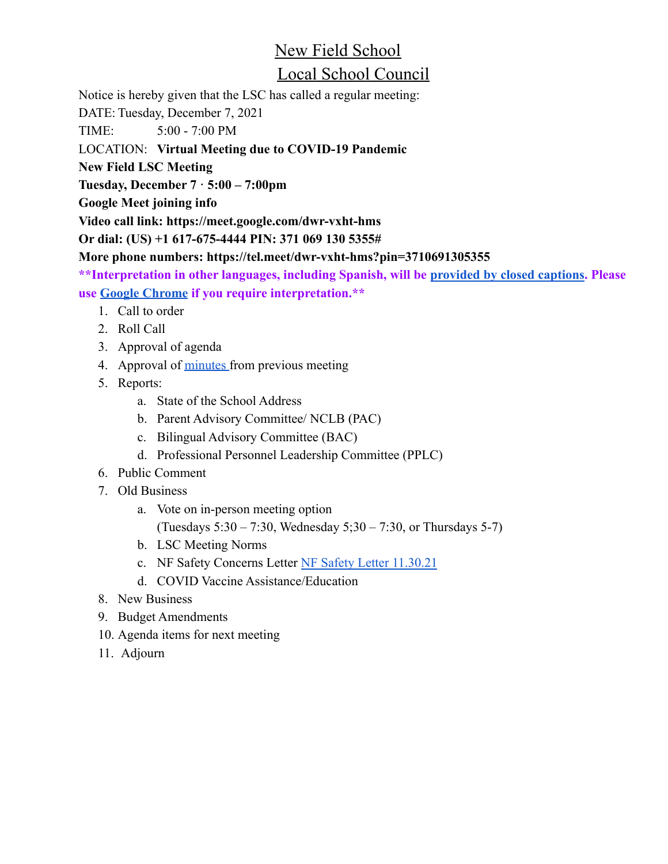# New Field School

## Local School Council

Notice is hereby given that the LSC has called a regular meeting:

DATE: Tuesday, December 7, 2021

TIME: 5:00 - 7:00 PM

#### LOCATION: **Virtual Meeting due to COVID-19 Pandemic**

**New Field LSC Meeting**

**Tuesday, December 7 · 5:00 – 7:00pm**

**Google Meet joining info**

**Video call link: https://meet.google.com/dwr-vxht-hms**

**Or dial: (US) +1 617-675-4444 PIN: 371 069 130 5355#**

**More phone numbers: https://tel.meet/dwr-vxht-hms?pin=3710691305355**

**\*\*Interpretation in other languages, including Spanish, will be [provided by closed captions.](https://drive.google.com/file/d/1FbP8qrN1Rp411lgr28STxUkZR4p77L3N/view) Please use [Google Chrome](https://www.google.com/chrome/) if you require interpretation.\*\***

- 1. Call to order
- 2. Roll Call
- 3. Approval of agenda
- 4. Approval of [minutes](https://1drv.ms/w/s!Ap1GohQtUBYU7CR_3YMdzMv9LvI1) from previous meeting
- 5. Reports:
	- a. State of the School Address
	- b. Parent Advisory Committee/ NCLB (PAC)
	- c. Bilingual Advisory Committee (BAC)
	- d. Professional Personnel Leadership Committee (PPLC)
- 6. Public Comment
- 7. Old Business
	- a. Vote on in-person meeting option (Tuesdays 5:30 – 7:30, Wednesday 5;30 – 7:30, or Thursdays 5-7)
	- b. LSC Meeting Norms
	- c. NF Safety Concerns Letter [NF Safety Letter 11.30.21](https://docs.google.com/document/d/1Rtfdg8oQtf8qF2yV-j0XPlodSyz-te-w1pc1N4lOjtY/edit?usp=sharing)
	- d. COVID Vaccine Assistance/Education
- 8. New Business
- 9. Budget Amendments
- 10. Agenda items for next meeting
- 11. Adjourn